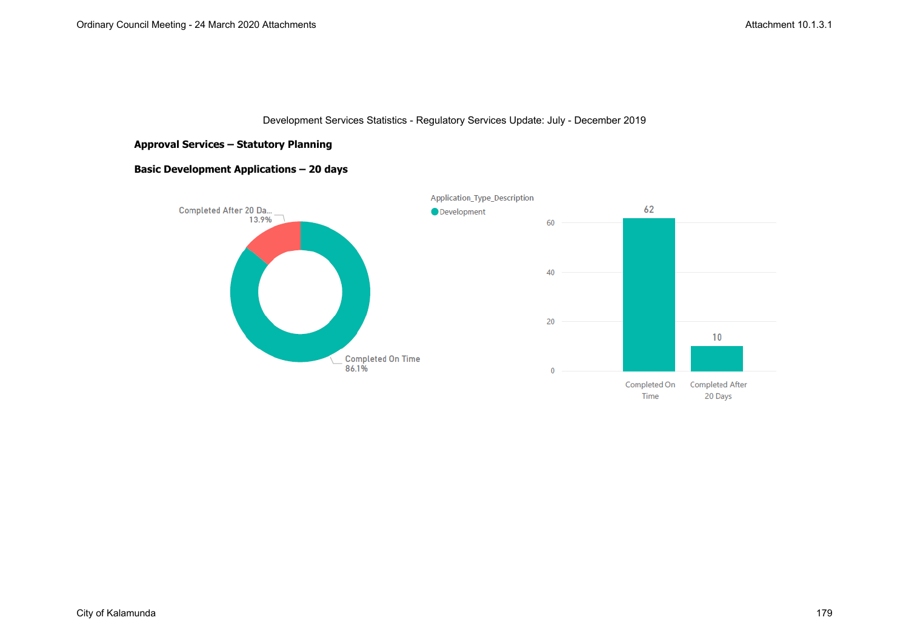### **Approval Services – Statutory Planning**

### **Basic Development Applications – 20 days**

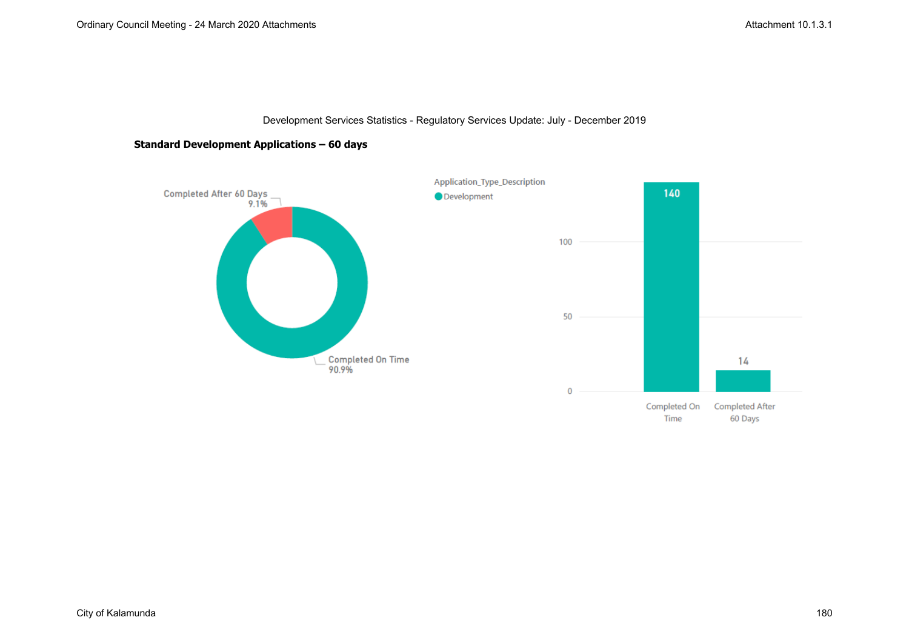### **Standard Development Applications – 60 days**

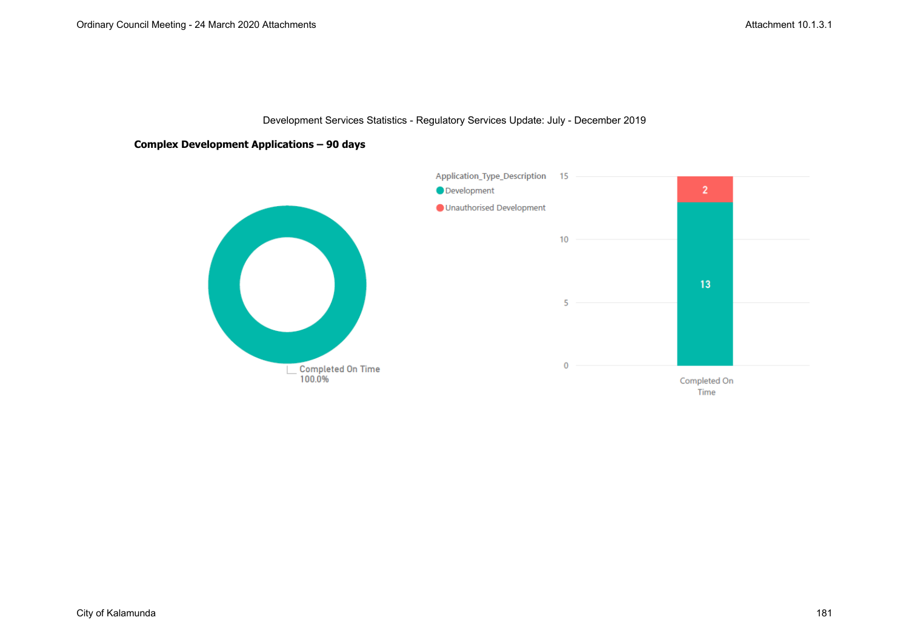### **Complex Development Applications – 90 days**

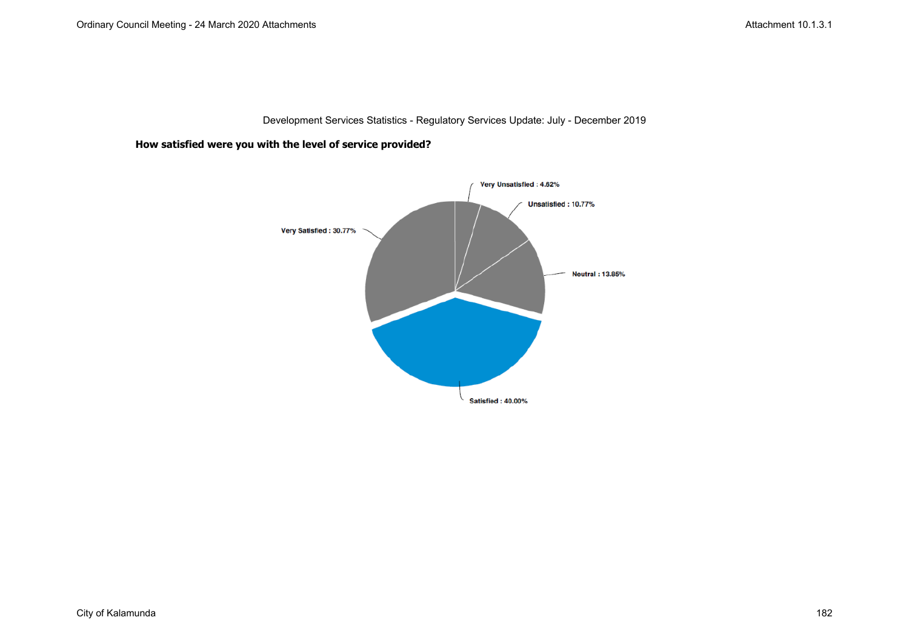**How satisfied were you with the level of service provided?**

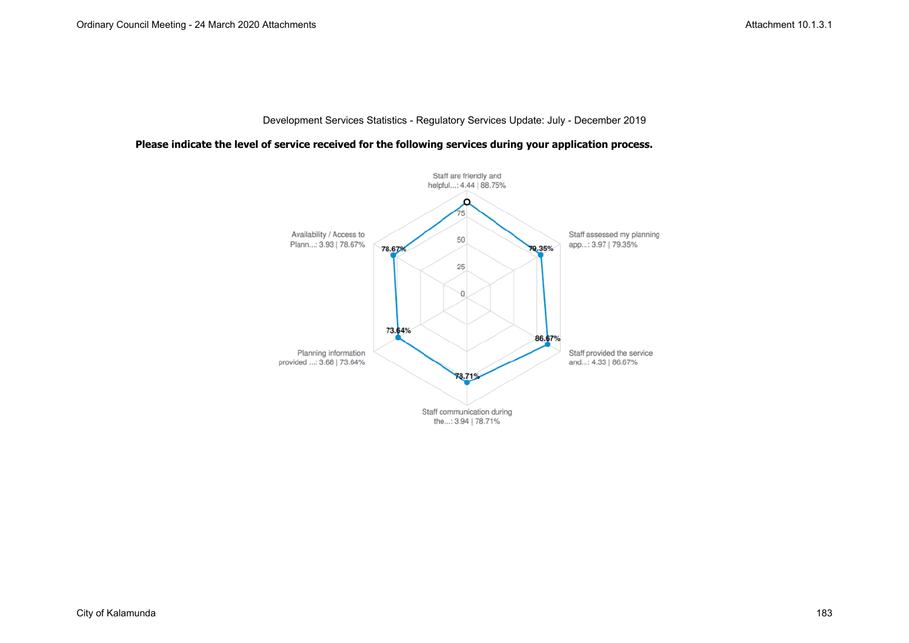### **Please indicate the level of service received for the following services during your application process.**

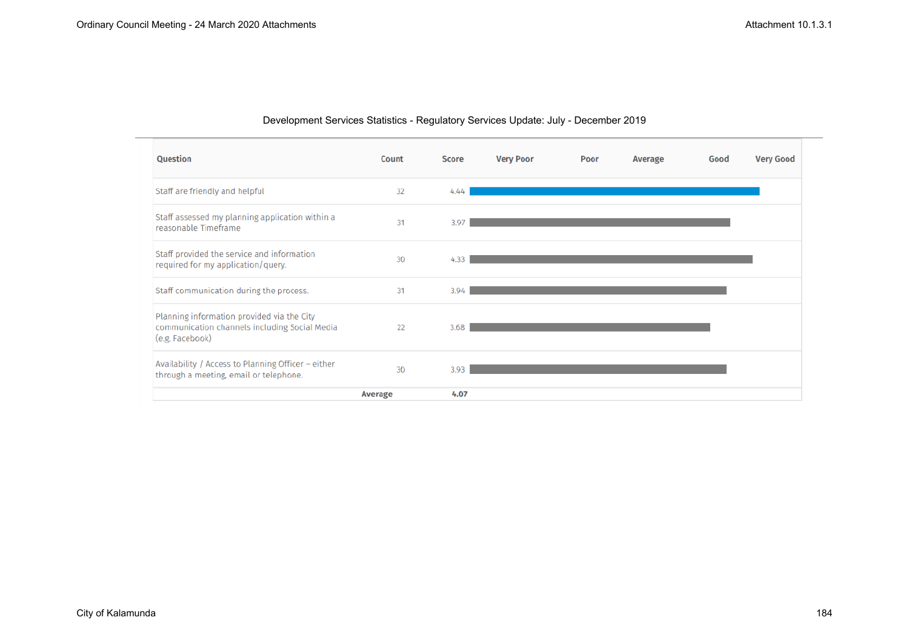| Question                                                                                                       | Count          | <b>Score</b> | <b>Very Poor</b> | Poor | Average | Good | <b>Very Good</b> |
|----------------------------------------------------------------------------------------------------------------|----------------|--------------|------------------|------|---------|------|------------------|
| Staff are friendly and helpful                                                                                 | 32             | 4.44         |                  |      |         |      |                  |
| Staff assessed my planning application within a<br>reasonable Timeframe                                        | 31             | 3.97         |                  |      |         |      |                  |
| Staff provided the service and information<br>required for my application/query.                               | 30             | 4.33         |                  |      |         |      |                  |
| Staff communication during the process.                                                                        | 31             | 3.94         |                  |      |         |      |                  |
| Planning information provided via the City<br>communication channels including Social Media<br>(e.g. Facebook) | 22             | 3.68         |                  |      |         |      |                  |
| Availability / Access to Planning Officer - either<br>through a meeting, email or telephone.                   | 30             | 3.93         |                  |      |         |      |                  |
|                                                                                                                | <b>Average</b> | 4.07         |                  |      |         |      |                  |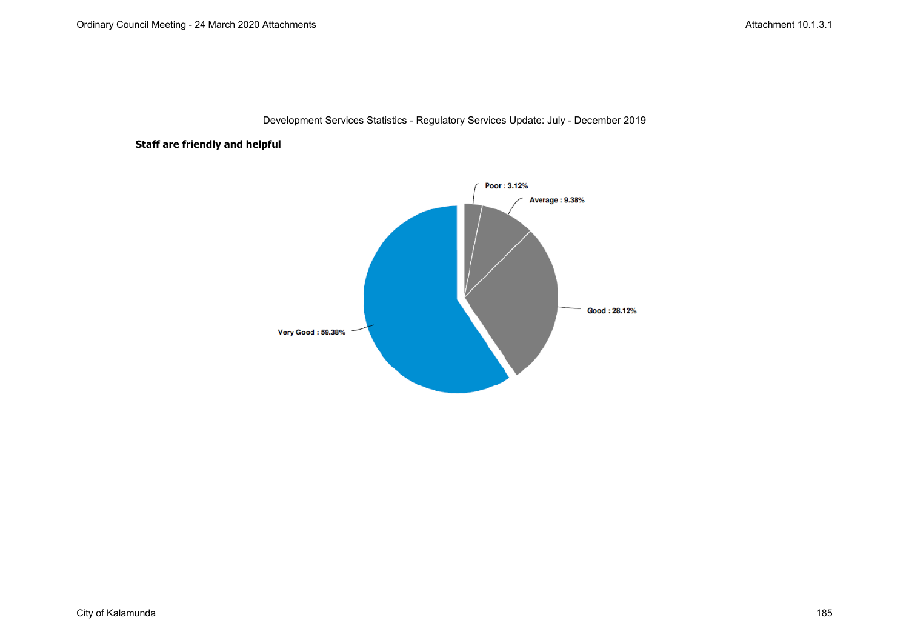# **Staff are friendly and helpful**

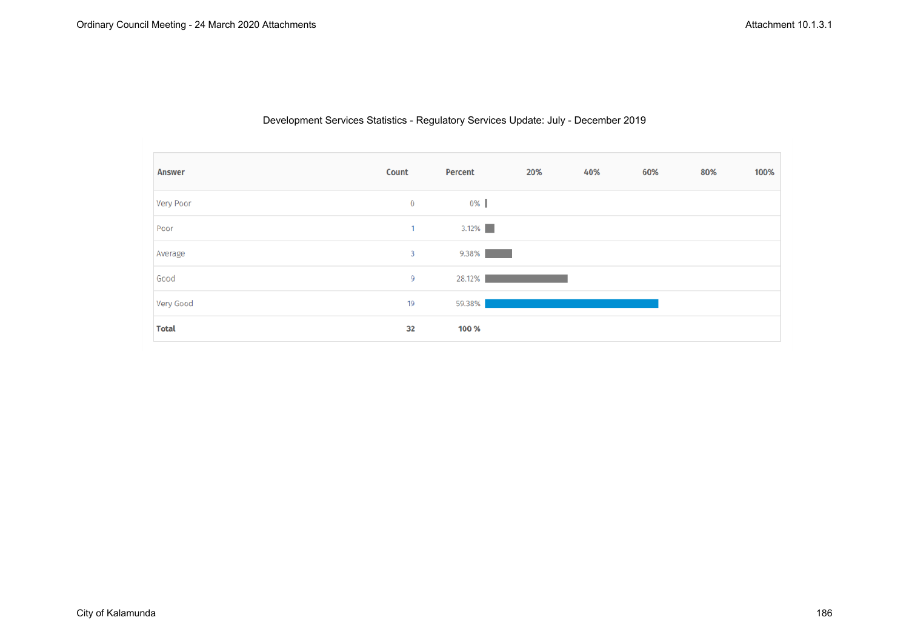| <b>Answer</b> | Count        | Percent  | 20% | 40% | 60% | 80% | 100% |
|---------------|--------------|----------|-----|-----|-----|-----|------|
| Very Poor     | $\bf{0}$     | 0%       |     |     |     |     |      |
| Poor          | $\mathbf{1}$ | $3.12\%$ |     |     |     |     |      |
| Average       | 3            | 9.38%    |     |     |     |     |      |
| Good          | 9            | 28.12%   |     |     |     |     |      |
| Very Good     | 19           | 59.38%   |     |     |     |     |      |
| <b>Total</b>  | 32           | 100 %    |     |     |     |     |      |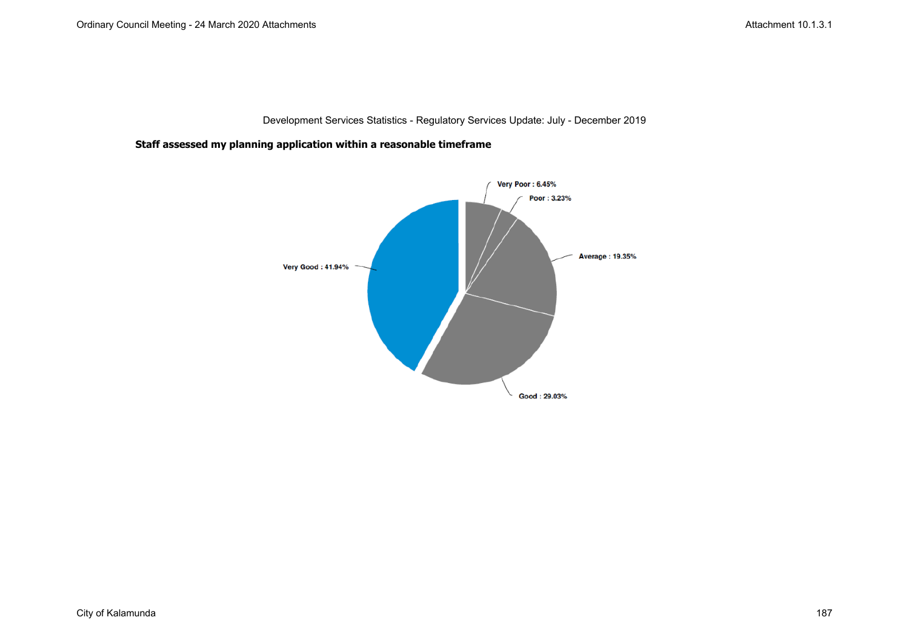**Staff assessed my planning application within a reasonable timeframe**

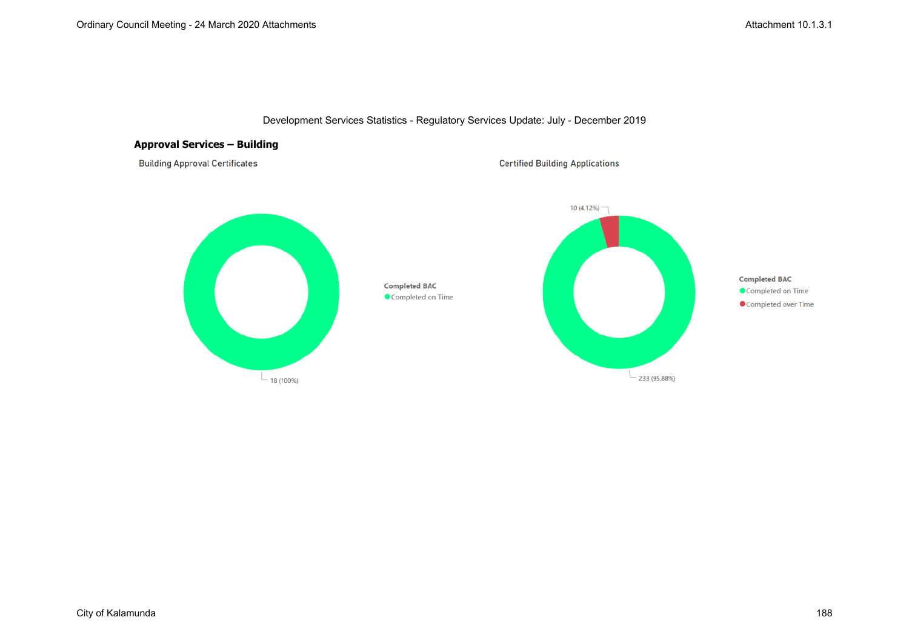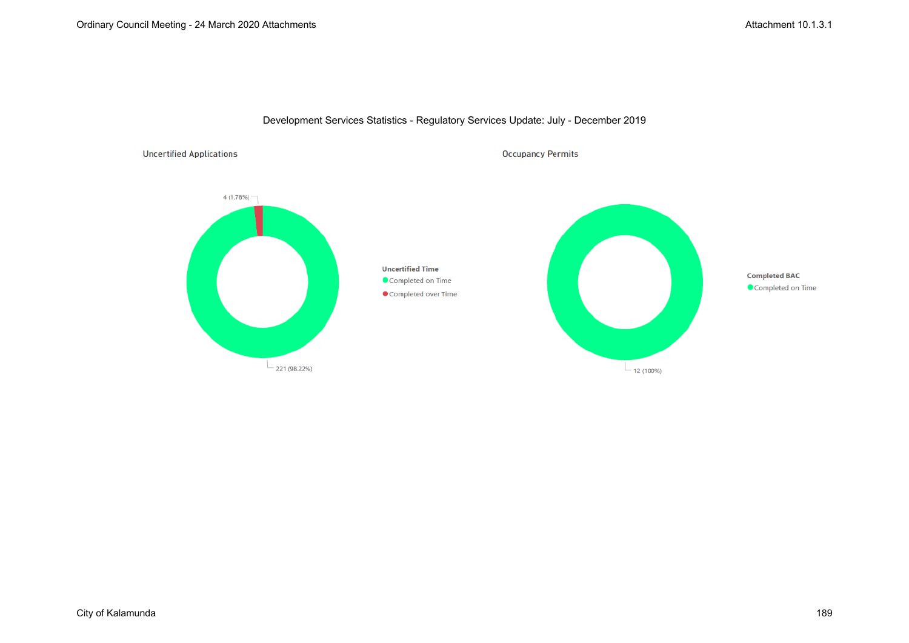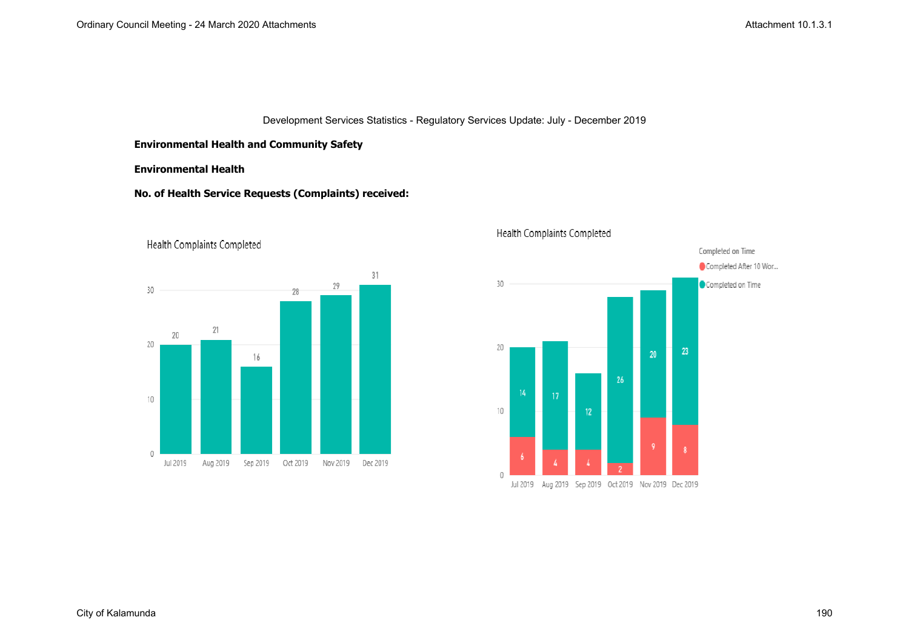### **Environmental Health and Community Safety**

#### **Environmental Health**

#### **No. of Health Service Requests (Complaints) received:**







# Health Complaints Completed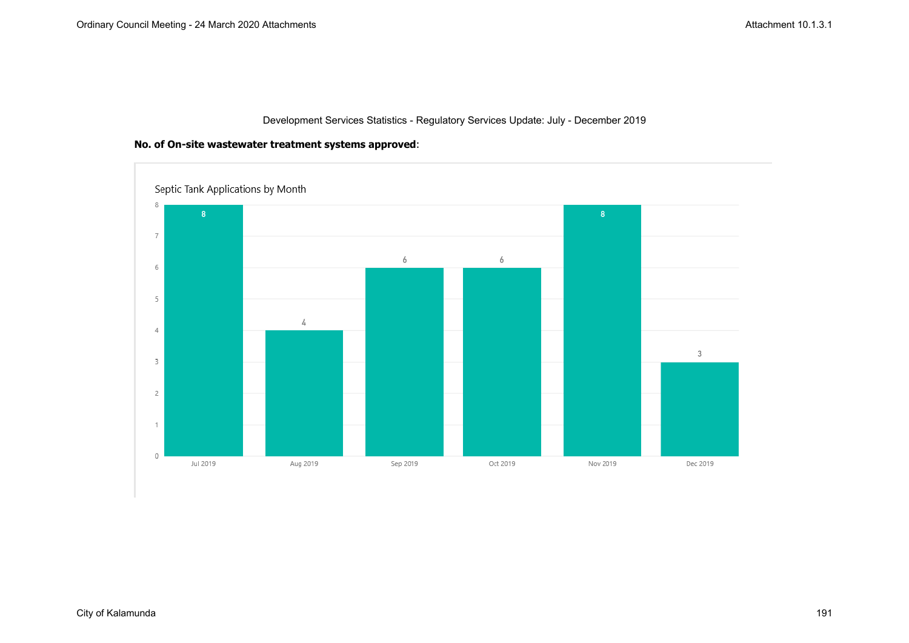

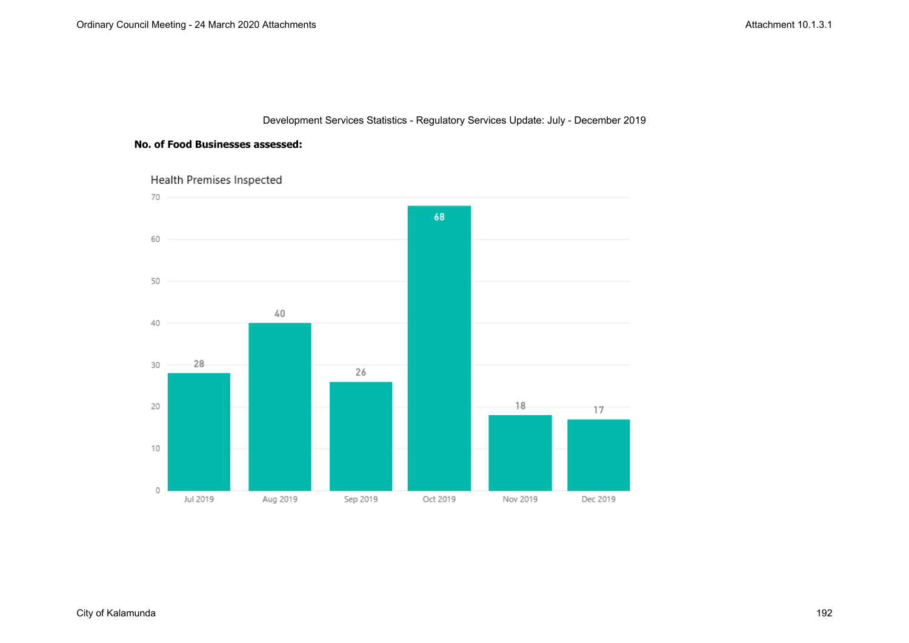### **No. of Food Businesses assessed:**

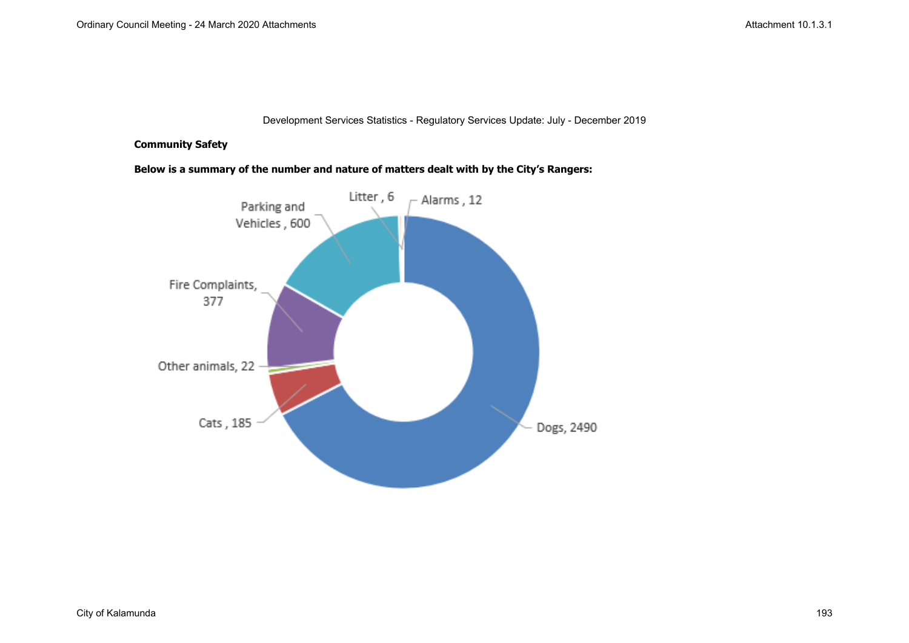### **Community Safety**

**Below is a summary of the number and nature of matters dealt with by the City's Rangers:**

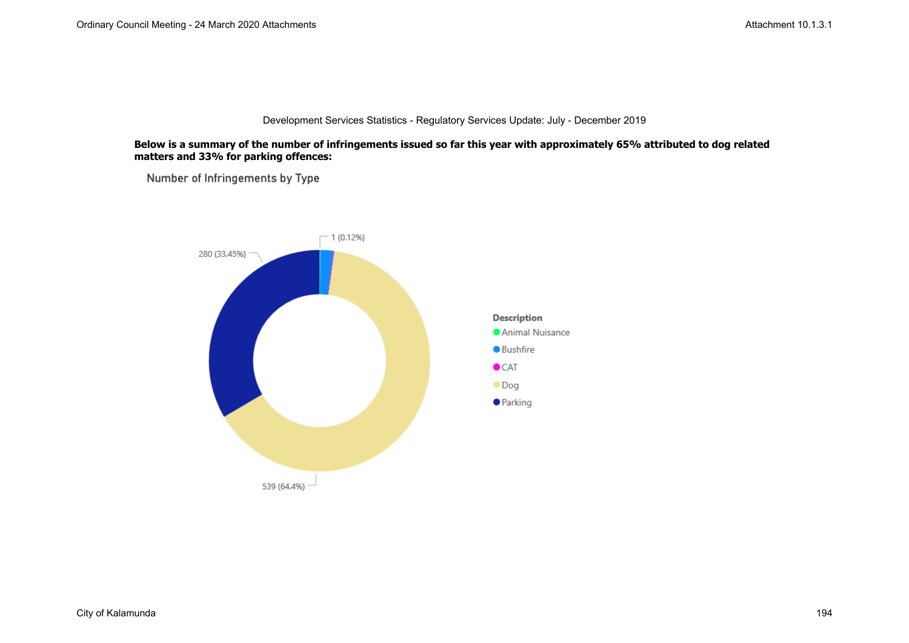#### **Below is a summary of the number of infringements issued so far this year with approximately 65% attributed to dog related matters and 33% for parking offences:**

Number of Infringements by Type